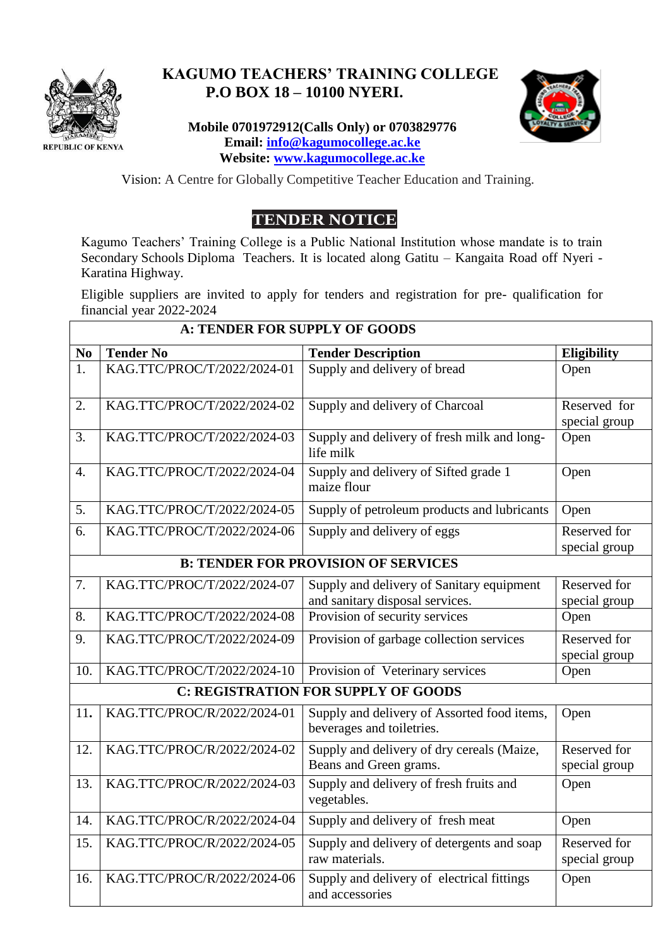

## **KAGUMO TEACHERS' TRAINING COLLEGE P.O BOX 18 – 10100 NYERI.**

## **Mobile 0701972912(Calls Only) or 0703829776 Email: [info@kagumocollege.ac.ke](mailto:info@kagumocollege.ac.ke) Website: [www.kagumocollege.ac.ke](http://www.kagumocollege.ac.ke/)**



Vision: A Centre for Globally Competitive Teacher Education and Training.

# **TENDER NOTICE**

Kagumo Teachers' Training College is a Public National Institution whose mandate is to train Secondary Schools Diploma Teachers. It is located along Gatitu – Kangaita Road off Nyeri - Karatina Highway.

Eligible suppliers are invited to apply for tenders and registration for pre- qualification for financial year 2022-2024

| <b>A: TENDER FOR SUPPLY OF GOODS</b>       |                                            |                                                                              |                               |  |  |
|--------------------------------------------|--------------------------------------------|------------------------------------------------------------------------------|-------------------------------|--|--|
| N <sub>0</sub>                             | <b>Tender No</b>                           | <b>Tender Description</b>                                                    | <b>Eligibility</b>            |  |  |
| 1.                                         | KAG.TTC/PROC/T/2022/2024-01                | Supply and delivery of bread                                                 | Open                          |  |  |
| 2.                                         | KAG.TTC/PROC/T/2022/2024-02                | Supply and delivery of Charcoal                                              | Reserved for<br>special group |  |  |
| 3.                                         | KAG.TTC/PROC/T/2022/2024-03                | Supply and delivery of fresh milk and long-<br>life milk                     | Open                          |  |  |
| 4.                                         | KAG.TTC/PROC/T/2022/2024-04                | Supply and delivery of Sifted grade 1<br>maize flour                         | Open                          |  |  |
| 5.                                         | KAG.TTC/PROC/T/2022/2024-05                | Supply of petroleum products and lubricants                                  | Open                          |  |  |
| 6.                                         | KAG.TTC/PROC/T/2022/2024-06                | Supply and delivery of eggs                                                  | Reserved for<br>special group |  |  |
|                                            | <b>B: TENDER FOR PROVISION OF SERVICES</b> |                                                                              |                               |  |  |
| 7.                                         | KAG.TTC/PROC/T/2022/2024-07                | Supply and delivery of Sanitary equipment<br>and sanitary disposal services. | Reserved for<br>special group |  |  |
| 8.                                         | KAG.TTC/PROC/T/2022/2024-08                | Provision of security services                                               | Open                          |  |  |
| 9.                                         | KAG.TTC/PROC/T/2022/2024-09                | Provision of garbage collection services                                     | Reserved for<br>special group |  |  |
| 10.                                        | KAG.TTC/PROC/T/2022/2024-10                | Provision of Veterinary services                                             | Open                          |  |  |
| <b>C: REGISTRATION FOR SUPPLY OF GOODS</b> |                                            |                                                                              |                               |  |  |
| 11.                                        | KAG.TTC/PROC/R/2022/2024-01                | Supply and delivery of Assorted food items,<br>beverages and toiletries.     | Open                          |  |  |
| 12.                                        | KAG.TTC/PROC/R/2022/2024-02                | Supply and delivery of dry cereals (Maize,<br>Beans and Green grams.         | Reserved for<br>special group |  |  |
| 13.                                        | KAG.TTC/PROC/R/2022/2024-03                | Supply and delivery of fresh fruits and<br>vegetables.                       | Open                          |  |  |
| 14.                                        | KAG.TTC/PROC/R/2022/2024-04                | Supply and delivery of fresh meat                                            | Open                          |  |  |
| 15.                                        | KAG.TTC/PROC/R/2022/2024-05                | Supply and delivery of detergents and soap<br>raw materials.                 | Reserved for<br>special group |  |  |
| 16.                                        | KAG.TTC/PROC/R/2022/2024-06                | Supply and delivery of electrical fittings<br>and accessories                | Open                          |  |  |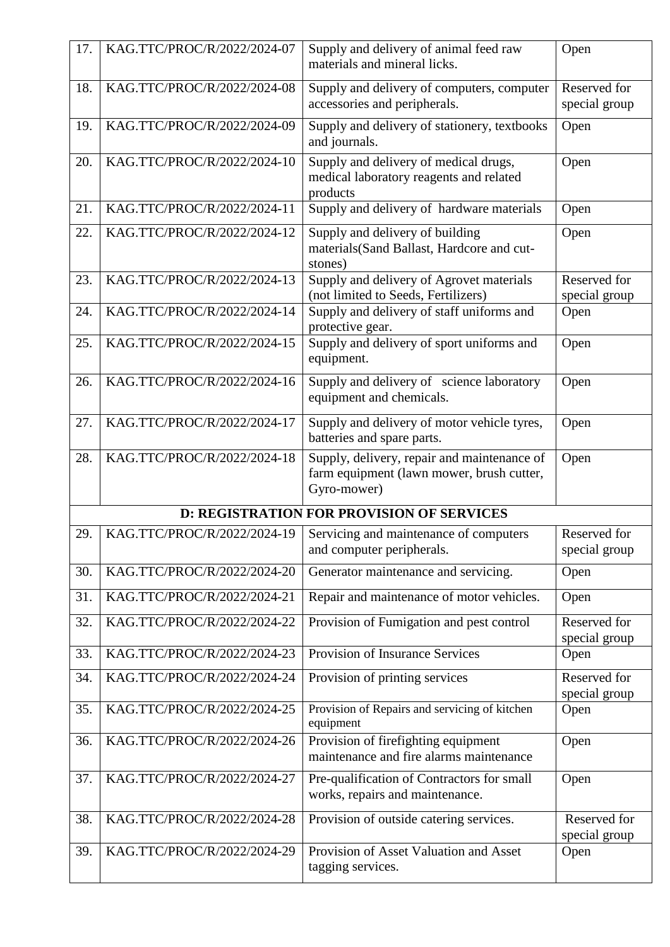| 17.                                              | KAG.TTC/PROC/R/2022/2024-07 | Supply and delivery of animal feed raw<br>materials and mineral licks.                                  | Open                          |  |
|--------------------------------------------------|-----------------------------|---------------------------------------------------------------------------------------------------------|-------------------------------|--|
| 18.                                              | KAG.TTC/PROC/R/2022/2024-08 | Supply and delivery of computers, computer<br>accessories and peripherals.                              | Reserved for<br>special group |  |
| 19.                                              | KAG.TTC/PROC/R/2022/2024-09 | Supply and delivery of stationery, textbooks<br>and journals.                                           | Open                          |  |
| 20.                                              | KAG.TTC/PROC/R/2022/2024-10 | Supply and delivery of medical drugs,<br>medical laboratory reagents and related<br>products            | Open                          |  |
| 21.                                              | KAG.TTC/PROC/R/2022/2024-11 | Supply and delivery of hardware materials                                                               | Open                          |  |
| 22.                                              | KAG.TTC/PROC/R/2022/2024-12 | Supply and delivery of building<br>materials(Sand Ballast, Hardcore and cut-<br>stones)                 | Open                          |  |
| 23.                                              | KAG.TTC/PROC/R/2022/2024-13 | Supply and delivery of Agrovet materials<br>(not limited to Seeds, Fertilizers)                         | Reserved for<br>special group |  |
| 24.                                              | KAG.TTC/PROC/R/2022/2024-14 | Supply and delivery of staff uniforms and<br>protective gear.                                           | Open                          |  |
| 25.                                              | KAG.TTC/PROC/R/2022/2024-15 | Supply and delivery of sport uniforms and<br>equipment.                                                 | Open                          |  |
| 26.                                              | KAG.TTC/PROC/R/2022/2024-16 | Supply and delivery of science laboratory<br>equipment and chemicals.                                   | Open                          |  |
| 27.                                              | KAG.TTC/PROC/R/2022/2024-17 | Supply and delivery of motor vehicle tyres,<br>batteries and spare parts.                               | Open                          |  |
| 28.                                              | KAG.TTC/PROC/R/2022/2024-18 | Supply, delivery, repair and maintenance of<br>farm equipment (lawn mower, brush cutter,<br>Gyro-mower) | Open                          |  |
| <b>D: REGISTRATION FOR PROVISION OF SERVICES</b> |                             |                                                                                                         |                               |  |
| 29.                                              | KAG.TTC/PROC/R/2022/2024-19 | Servicing and maintenance of computers<br>and computer peripherals.                                     | Reserved for<br>special group |  |
| 30.                                              | KAG.TTC/PROC/R/2022/2024-20 | Generator maintenance and servicing.                                                                    | Open                          |  |
| 31.                                              | KAG.TTC/PROC/R/2022/2024-21 | Repair and maintenance of motor vehicles.                                                               | Open                          |  |
| 32.                                              | KAG.TTC/PROC/R/2022/2024-22 | Provision of Fumigation and pest control                                                                | Reserved for<br>special group |  |
| 33.                                              | KAG.TTC/PROC/R/2022/2024-23 | Provision of Insurance Services                                                                         | Open                          |  |
| 34.                                              | KAG.TTC/PROC/R/2022/2024-24 | Provision of printing services                                                                          | Reserved for<br>special group |  |
| 35.                                              | KAG.TTC/PROC/R/2022/2024-25 | Provision of Repairs and servicing of kitchen<br>equipment                                              | Open                          |  |
| 36.                                              | KAG.TTC/PROC/R/2022/2024-26 | Provision of firefighting equipment<br>maintenance and fire alarms maintenance                          | Open                          |  |
| 37.                                              | KAG.TTC/PROC/R/2022/2024-27 | Pre-qualification of Contractors for small<br>works, repairs and maintenance.                           | Open                          |  |
| 38.                                              | KAG.TTC/PROC/R/2022/2024-28 | Provision of outside catering services.                                                                 | Reserved for<br>special group |  |
| 39.                                              | KAG.TTC/PROC/R/2022/2024-29 | Provision of Asset Valuation and Asset<br>tagging services.                                             | Open                          |  |